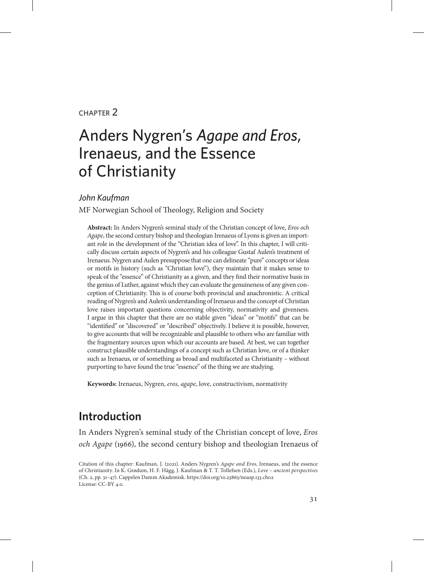### chapter 2

# Anders Nygren's *Agape and Eros*, Irenaeus, and the Essence of Christianity

#### *John Kaufman*

MF Norwegian School of Theology, Religion and Society

**Abstract:** In Anders Nygren's seminal study of the Christian concept of love, *Eros och Agape*, the second century bishop and theologian Irenaeus of Lyons is given an important role in the development of the "Christian idea of love". In this chapter, I will critically discuss certain aspects of Nygren's and his colleague Gustaf Aulen's treatment of Irenaeus. Nygren and Aulen presuppose that one can delineate "pure" concepts or ideas or motifs in history (such as "Christian love"), they maintain that it makes sense to speak of the "essence" of Christianity as a given, and they find their normative basis in the genius of Luther, against which they can evaluate the genuineness of any given conception of Christianity. This is of course both provincial and anachronistic. A critical reading of Nygren's and Aulen's understanding of Irenaeus and the concept of Christian love raises important questions concerning objectivity, normativity and givenness. I argue in this chapter that there are no stable given "ideas" or "motifs" that can be "identified" or "discovered" or "described" objectively. I believe it is possible, however, to give accounts that will be recognizable and plausible to others who are familiar with the fragmentary sources upon which our accounts are based. At best, we can together construct plausible understandings of a concept such as Christian love, or of a thinker such as Irenaeus, or of something as broad and multifaceted as Christianity – without purporting to have found the true "essence" of the thing we are studying.

**Keywords:** Irenaeus, Nygren, *eros, agape*, love, constructivism, normativity

# **Introduction**

In Anders Nygren's seminal study of the Christian concept of love, *Eros och Agape* (1966), the second century bishop and theologian Irenaeus of

Citation of this chapter: Kaufman, J. (2021). Anders Nygren's *Agape and Eros*, Irenaeus, and the essence of Christianity. In K. Grødum, H. F. Hägg, J. Kaufman & T. T. Tollefsen (Eds.), *Love – ancient perspectives* (Ch. 2, pp. 31–47). Cappelen Damm Akademisk. https://doi.org/10.23865/noasp.133.ch02 License: CC-BY 4.0.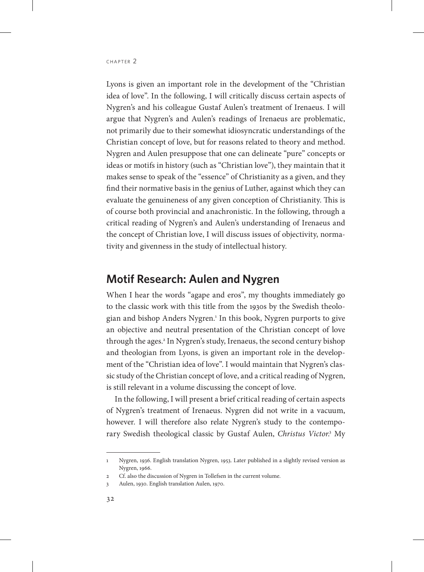Lyons is given an important role in the development of the "Christian idea of love". In the following, I will critically discuss certain aspects of Nygren's and his colleague Gustaf Aulen's treatment of Irenaeus. I will argue that Nygren's and Aulen's readings of Irenaeus are problematic, not primarily due to their somewhat idiosyncratic understandings of the Christian concept of love, but for reasons related to theory and method. Nygren and Aulen presuppose that one can delineate "pure" concepts or ideas or motifs in history (such as "Christian love"), they maintain that it makes sense to speak of the "essence" of Christianity as a given, and they find their normative basis in the genius of Luther, against which they can evaluate the genuineness of any given conception of Christianity. This is of course both provincial and anachronistic. In the following, through a critical reading of Nygren's and Aulen's understanding of Irenaeus and the concept of Christian love, I will discuss issues of objectivity, normativity and givenness in the study of intellectual history.

# **Motif Research: Aulen and Nygren**

When I hear the words "agape and eros", my thoughts immediately go to the classic work with this title from the 1930s by the Swedish theologian and bishop Anders Nygren.1 In this book, Nygren purports to give an objective and neutral presentation of the Christian concept of love through the ages.2 In Nygren's study, Irenaeus, the second century bishop and theologian from Lyons, is given an important role in the development of the "Christian idea of love". I would maintain that Nygren's classic study of the Christian concept of love, and a critical reading of Nygren, is still relevant in a volume discussing the concept of love.

In the following, I will present a brief critical reading of certain aspects of Nygren's treatment of Irenaeus. Nygren did not write in a vacuum, however. I will therefore also relate Nygren's study to the contemporary Swedish theological classic by Gustaf Aulen, *Christus Victor*. 3 My

<sup>1</sup> Nygren, 1936. English translation Nygren, 1953. Later published in a slightly revised version as Nygren, 1966.

<sup>2</sup> Cf. also the discussion of Nygren in Tollefsen in the current volume.

<sup>3</sup> Aulen, 1930. English translation Aulen, 1970.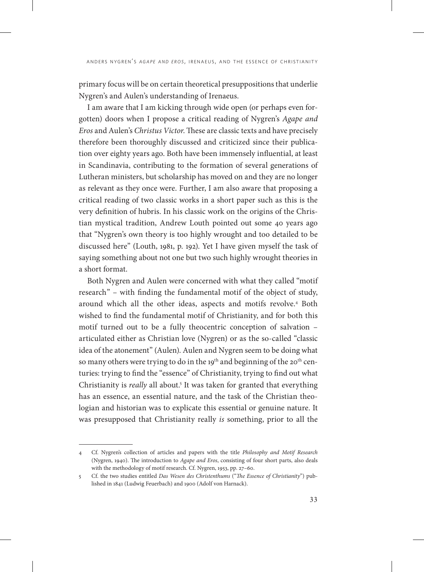primary focus will be on certain theoretical presuppositions that underlie Nygren's and Aulen's understanding of Irenaeus.

I am aware that I am kicking through wide open (or perhaps even forgotten) doors when I propose a critical reading of Nygren's *Agape and Eros* and Aulen's *Christus Victor*. These are classic texts and have precisely therefore been thoroughly discussed and criticized since their publication over eighty years ago. Both have been immensely influential, at least in Scandinavia, contributing to the formation of several generations of Lutheran ministers, but scholarship has moved on and they are no longer as relevant as they once were. Further, I am also aware that proposing a critical reading of two classic works in a short paper such as this is the very definition of hubris. In his classic work on the origins of the Christian mystical tradition, Andrew Louth pointed out some 40 years ago that "Nygren's own theory is too highly wrought and too detailed to be discussed here" (Louth, 1981, p. 192). Yet I have given myself the task of saying something about not one but two such highly wrought theories in a short format.

Both Nygren and Aulen were concerned with what they called "motif research" – with finding the fundamental motif of the object of study, around which all the other ideas, aspects and motifs revolve.4 Both wished to find the fundamental motif of Christianity, and for both this motif turned out to be a fully theocentric conception of salvation – articulated either as Christian love (Nygren) or as the so-called "classic idea of the atonement" (Aulen). Aulen and Nygren seem to be doing what so many others were trying to do in the 19<sup>th</sup> and beginning of the 20<sup>th</sup> centuries: trying to find the "essence" of Christianity, trying to find out what Christianity is *really* all about.5 It was taken for granted that everything has an essence, an essential nature, and the task of the Christian theologian and historian was to explicate this essential or genuine nature. It was presupposed that Christianity really *is* something, prior to all the

<sup>4</sup> Cf. Nygren's collection of articles and papers with the title *Philosophy and Motif Research*  (Nygren, 1940). The introduction to *Agape and Eros*, consisting of four short parts, also deals with the methodology of motif research. Cf. Nygren, 1953, pp. 27–60.

<sup>5</sup> Cf. the two studies entitled *Das Wesen des Christenthums* ("*The Essence of Christianity*") published in 1841 (Ludwig Feuerbach) and 1900 (Adolf von Harnack).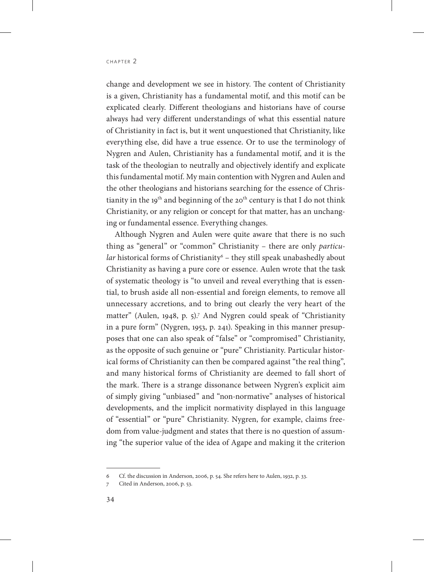change and development we see in history. The content of Christianity is a given, Christianity has a fundamental motif, and this motif can be explicated clearly. Different theologians and historians have of course always had very different understandings of what this essential nature of Christianity in fact is, but it went unquestioned that Christianity, like everything else, did have a true essence. Or to use the terminology of Nygren and Aulen, Christianity has a fundamental motif, and it is the task of the theologian to neutrally and objectively identify and explicate this fundamental motif. My main contention with Nygren and Aulen and the other theologians and historians searching for the essence of Christianity in the 19<sup>th</sup> and beginning of the 20<sup>th</sup> century is that I do not think Christianity, or any religion or concept for that matter, has an unchanging or fundamental essence. Everything changes.

Although Nygren and Aulen were quite aware that there is no such thing as "general" or "common" Christianity – there are only *particular* historical forms of Christianity<sup>6</sup> – they still speak unabashedly about Christianity as having a pure core or essence. Aulen wrote that the task of systematic theology is "to unveil and reveal everything that is essential, to brush aside all non-essential and foreign elements, to remove all unnecessary accretions, and to bring out clearly the very heart of the matter" (Aulen, 1948, p. 5).7 And Nygren could speak of "Christianity in a pure form" (Nygren, 1953, p. 241). Speaking in this manner presupposes that one can also speak of "false" or "compromised" Christianity, as the opposite of such genuine or "pure" Christianity. Particular historical forms of Christianity can then be compared against "the real thing", and many historical forms of Christianity are deemed to fall short of the mark. There is a strange dissonance between Nygren's explicit aim of simply giving "unbiased" and "non-normative" analyses of historical developments, and the implicit normativity displayed in this language of "essential" or "pure" Christianity. Nygren, for example, claims freedom from value-judgment and states that there is no question of assuming "the superior value of the idea of Agape and making it the criterion

<sup>6</sup> Cf. the discussion in Anderson, 2006, p. 54. She refers here to Aulen, 1932, p. 33.

<sup>7</sup> Cited in Anderson, 2006, p. 53.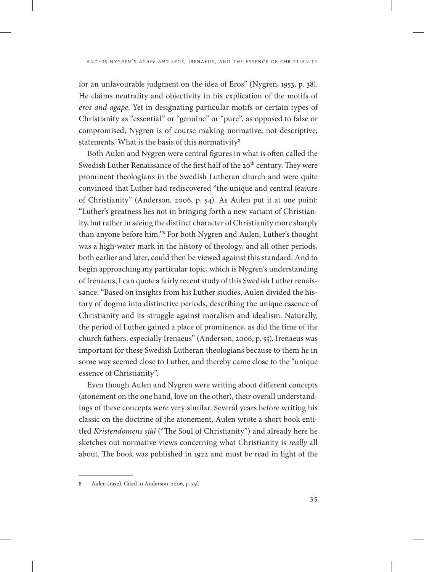for an unfavourable judgment on the idea of Eros" (Nygren, 1953, p. 38). He claims neutrality and objectivity in his explication of the motifs of *eros and agape*. Yet in designating particular motifs or certain types of Christianity as "essential" or "genuine" or "pure", as opposed to false or compromised, Nygren is of course making normative, not descriptive, statements. What is the basis of this normativity?

Both Aulen and Nygren were central figures in what is often called the Swedish Luther Renaissance of the first half of the 20<sup>th</sup> century. They were prominent theologians in the Swedish Lutheran church and were quite convinced that Luther had rediscovered "the unique and central feature of Christianity" (Anderson, 2006, p. 54). As Aulen put it at one point: "Luther's greatness lies not in bringing forth a new variant of Christianity, but rather in seeing the distinct character of Christianity more sharply than anyone before him."8 For both Nygren and Aulen, Luther's thought was a high-water mark in the history of theology, and all other periods, both earlier and later, could then be viewed against this standard. And to begin approaching my particular topic, which is Nygren's understanding of Irenaeus, I can quote a fairly recent study of this Swedish Luther renaissance: "Based on insights from his Luther studies, Aulen divided the history of dogma into distinctive periods, describing the unique essence of Christianity and its struggle against moralism and idealism. Naturally, the period of Luther gained a place of prominence, as did the time of the church fathers, especially Irenaeus" (Anderson, 2006, p. 55). Irenaeus was important for these Swedish Lutheran theologians because to them he in some way seemed close to Luther, and thereby came close to the "unique essence of Christianity".

Even though Aulen and Nygren were writing about different concepts (atonement on the one hand, love on the other), their overall understandings of these concepts were very similar. Several years before writing his classic on the doctrine of the atonement, Aulen wrote a short book entitled *Kristendomens själ* ("The Soul of Christianity") and already here he sketches out normative views concerning what Christianity is *really* all about. The book was published in 1922 and must be read in light of the

<sup>8</sup> Aulen (1932). Cited in Anderson, 2006, p. 55f.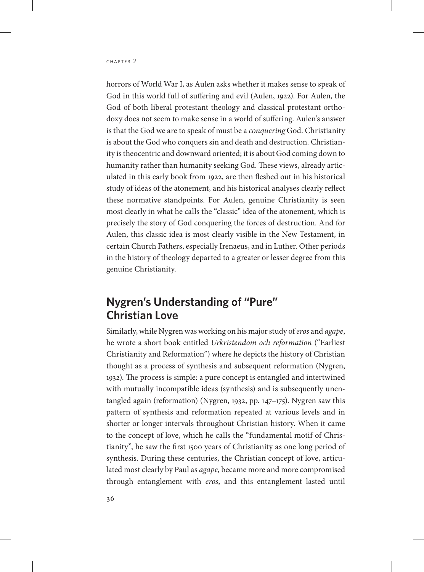horrors of World War I, as Aulen asks whether it makes sense to speak of God in this world full of suffering and evil (Aulen, 1922). For Aulen, the God of both liberal protestant theology and classical protestant orthodoxy does not seem to make sense in a world of suffering. Aulen's answer is that the God we are to speak of must be a *conquering* God. Christianity is about the God who conquers sin and death and destruction. Christianity is theocentric and downward oriented; it is about God coming down to humanity rather than humanity seeking God. These views, already articulated in this early book from 1922, are then fleshed out in his historical study of ideas of the atonement, and his historical analyses clearly reflect these normative standpoints. For Aulen, genuine Christianity is seen most clearly in what he calls the "classic" idea of the atonement, which is precisely the story of God conquering the forces of destruction. And for Aulen, this classic idea is most clearly visible in the New Testament, in certain Church Fathers, especially Irenaeus, and in Luther. Other periods in the history of theology departed to a greater or lesser degree from this genuine Christianity.

# **Nygren's Understanding of "Pure" Christian Love**

Similarly, while Nygren was working on his major study of *eros* and *agape*, he wrote a short book entitled *Urkristendom och reformation* ("Earliest Christianity and Reformation") where he depicts the history of Christian thought as a process of synthesis and subsequent reformation (Nygren, 1932). The process is simple: a pure concept is entangled and intertwined with mutually incompatible ideas (synthesis) and is subsequently unentangled again (reformation) (Nygren, 1932, pp. 147–175). Nygren saw this pattern of synthesis and reformation repeated at various levels and in shorter or longer intervals throughout Christian history. When it came to the concept of love, which he calls the "fundamental motif of Christianity", he saw the first 1500 years of Christianity as one long period of synthesis. During these centuries, the Christian concept of love, articulated most clearly by Paul as *agape*, became more and more compromised through entanglement with *eros*, and this entanglement lasted until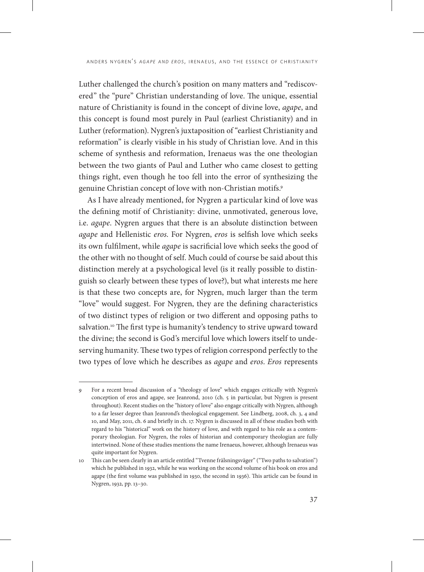Luther challenged the church's position on many matters and "rediscovered" the "pure" Christian understanding of love. The unique, essential nature of Christianity is found in the concept of divine love, *agape*, and this concept is found most purely in Paul (earliest Christianity) and in Luther (reformation). Nygren's juxtaposition of "earliest Christianity and reformation" is clearly visible in his study of Christian love. And in this scheme of synthesis and reformation, Irenaeus was the one theologian between the two giants of Paul and Luther who came closest to getting things right, even though he too fell into the error of synthesizing the genuine Christian concept of love with non-Christian motifs.9

As I have already mentioned, for Nygren a particular kind of love was the defining motif of Christianity: divine, unmotivated, generous love, i.e. *agape*. Nygren argues that there is an absolute distinction between *agape* and Hellenistic *eros*. For Nygren, *eros* is selfish love which seeks its own fulfilment, while *agape* is sacrificial love which seeks the good of the other with no thought of self. Much could of course be said about this distinction merely at a psychological level (is it really possible to distinguish so clearly between these types of love?), but what interests me here is that these two concepts are, for Nygren, much larger than the term "love" would suggest. For Nygren, they are the defining characteristics of two distinct types of religion or two different and opposing paths to salvation.<sup>10</sup> The first type is humanity's tendency to strive upward toward the divine; the second is God's merciful love which lowers itself to undeserving humanity. These two types of religion correspond perfectly to the two types of love which he describes as *agape* and *eros*. *Eros* represents

<sup>9</sup> For a recent broad discussion of a "theology of love" which engages critically with Nygren's conception of eros and agape, see Jeanrond, 2010 (ch. 5 in particular, but Nygren is present throughout). Recent studies on the "history of love" also engage critically with Nygren, although to a far lesser degree than Jeanrond's theological engagement. See Lindberg, 2008, ch. 3, 4 and 10, and May, 2011, ch. 6 and briefly in ch. 17. Nygren is discussed in all of these studies both with regard to his "historical" work on the history of love, and with regard to his role as a contemporary theologian. For Nygren, the roles of historian and contemporary theologian are fully intertwined. None of these studies mentions the name Irenaeus, however, although Irenaeus was quite important for Nygren.

<sup>10</sup> This can be seen clearly in an article entitled "Tvenne frälsningsväger" ("Two paths to salvation") which he published in 1932, while he was working on the second volume of his book on eros and agape (the first volume was published in 1930, the second in 1936). This article can be found in Nygren, 1932, pp. 13–30.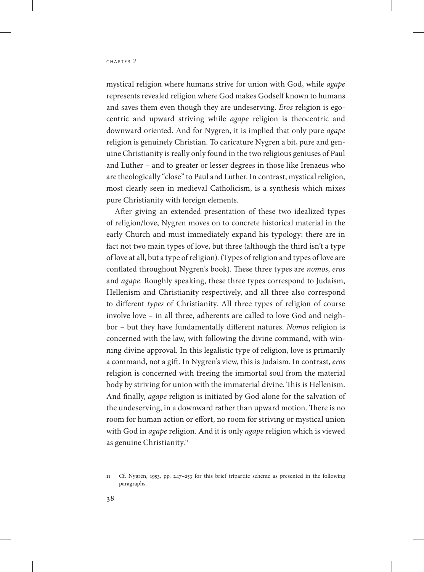mystical religion where humans strive for union with God, while *agape* represents revealed religion where God makes Godself known to humans and saves them even though they are undeserving. *Eros* religion is egocentric and upward striving while *agape* religion is theocentric and downward oriented. And for Nygren, it is implied that only pure *agape* religion is genuinely Christian. To caricature Nygren a bit, pure and genuine Christianity is really only found in the two religious geniuses of Paul and Luther – and to greater or lesser degrees in those like Irenaeus who are theologically "close" to Paul and Luther. In contrast, mystical religion, most clearly seen in medieval Catholicism, is a synthesis which mixes pure Christianity with foreign elements.

After giving an extended presentation of these two idealized types of religion/love, Nygren moves on to concrete historical material in the early Church and must immediately expand his typology: there are in fact not two main types of love, but three (although the third isn't a type of love at all, but a type of religion). (Types of religion and types of love are conflated throughout Nygren's book). These three types are *nomos*, *eros* and *agape*. Roughly speaking, these three types correspond to Judaism, Hellenism and Christianity respectively, and all three also correspond to different *types* of Christianity. All three types of religion of course involve love – in all three, adherents are called to love God and neighbor – but they have fundamentally different natures. *Nomos* religion is concerned with the law, with following the divine command, with winning divine approval. In this legalistic type of religion, love is primarily a command, not a gift. In Nygren's view, this is Judaism. In contrast, *eros* religion is concerned with freeing the immortal soul from the material body by striving for union with the immaterial divine. This is Hellenism. And finally, *agape* religion is initiated by God alone for the salvation of the undeserving, in a downward rather than upward motion. There is no room for human action or effort, no room for striving or mystical union with God in *agape* religion. And it is only *agape* religion which is viewed as genuine Christianity.<sup>11</sup>

<sup>11</sup> Cf. Nygren, 1953, pp. 247–253 for this brief tripartite scheme as presented in the following paragraphs.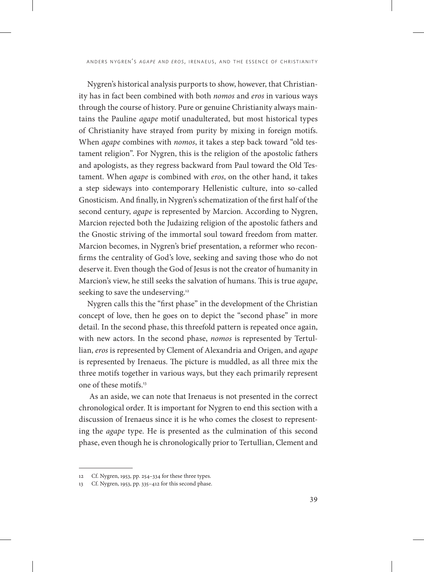Nygren's historical analysis purports to show, however, that Christianity has in fact been combined with both *nomos* and *eros* in various ways through the course of history. Pure or genuine Christianity always maintains the Pauline *agape* motif unadulterated, but most historical types of Christianity have strayed from purity by mixing in foreign motifs. When *agape* combines with *nomos*, it takes a step back toward "old testament religion". For Nygren, this is the religion of the apostolic fathers and apologists, as they regress backward from Paul toward the Old Testament. When *agape* is combined with *eros*, on the other hand, it takes a step sideways into contemporary Hellenistic culture, into so-called Gnosticism. And finally, in Nygren's schematization of the first half of the second century, *agape* is represented by Marcion. According to Nygren, Marcion rejected both the Judaizing religion of the apostolic fathers and the Gnostic striving of the immortal soul toward freedom from matter. Marcion becomes, in Nygren's brief presentation, a reformer who reconfirms the centrality of God's love, seeking and saving those who do not deserve it. Even though the God of Jesus is not the creator of humanity in Marcion's view, he still seeks the salvation of humans. This is true *agape*, seeking to save the undeserving.<sup>12</sup>

Nygren calls this the "first phase" in the development of the Christian concept of love, then he goes on to depict the "second phase" in more detail. In the second phase, this threefold pattern is repeated once again, with new actors. In the second phase, *nomos* is represented by Tertullian, *eros* is represented by Clement of Alexandria and Origen, and *agape* is represented by Irenaeus. The picture is muddled, as all three mix the three motifs together in various ways, but they each primarily represent one of these motifs.13

 As an aside, we can note that Irenaeus is not presented in the correct chronological order. It is important for Nygren to end this section with a discussion of Irenaeus since it is he who comes the closest to representing the *agape* type. He is presented as the culmination of this second phase, even though he is chronologically prior to Tertullian, Clement and

<sup>12</sup> Cf. Nygren, 1953, pp. 254–334 for these three types.

<sup>13</sup> Cf. Nygren, 1953, pp. 335–412 for this second phase.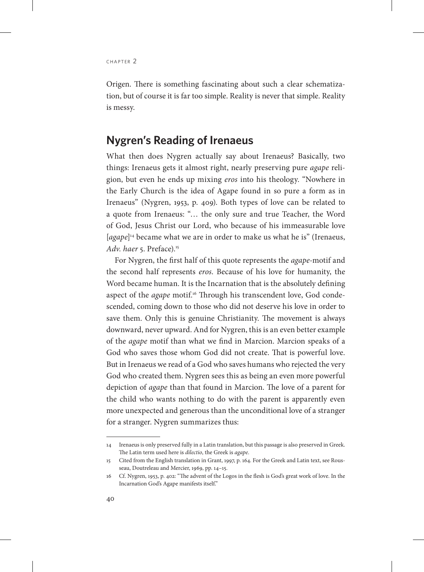Origen. There is something fascinating about such a clear schematization, but of course it is far too simple. Reality is never that simple. Reality is messy.

## **Nygren's Reading of Irenaeus**

What then does Nygren actually say about Irenaeus? Basically, two things: Irenaeus gets it almost right, nearly preserving pure *agape* religion, but even he ends up mixing *eros* into his theology. "Nowhere in the Early Church is the idea of Agape found in so pure a form as in Irenaeus" (Nygren, 1953, p. 409). Both types of love can be related to a quote from Irenaeus: "… the only sure and true Teacher, the Word of God, Jesus Christ our Lord, who because of his immeasurable love [*agape*] 14 became what we are in order to make us what he is" (Irenaeus, *Adv. haer* 5. Preface).15

For Nygren, the first half of this quote represents the *agape*-motif and the second half represents *eros*. Because of his love for humanity, the Word became human. It is the Incarnation that is the absolutely defining aspect of the *agape* motif.<sup>16</sup> Through his transcendent love, God condescended, coming down to those who did not deserve his love in order to save them. Only this is genuine Christianity. The movement is always downward, never upward. And for Nygren, this is an even better example of the *agape* motif than what we find in Marcion. Marcion speaks of a God who saves those whom God did not create. That is powerful love. But in Irenaeus we read of a God who saves humans who rejected the very God who created them. Nygren sees this as being an even more powerful depiction of *agape* than that found in Marcion. The love of a parent for the child who wants nothing to do with the parent is apparently even more unexpected and generous than the unconditional love of a stranger for a stranger. Nygren summarizes thus:

<sup>14</sup> Irenaeus is only preserved fully in a Latin translation, but this passage is also preserved in Greek. The Latin term used here is *dilectio*, the Greek is *agape*.

<sup>15</sup> Cited from the English translation in Grant, 1997, p. 164. For the Greek and Latin text, see Rousseau, Doutreleau and Mercier, 1969, pp. 14–15.

<sup>16</sup> Cf. Nygren, 1953, p. 402: "The advent of the Logos in the flesh is God's great work of love. In the Incarnation God's Agape manifests itself."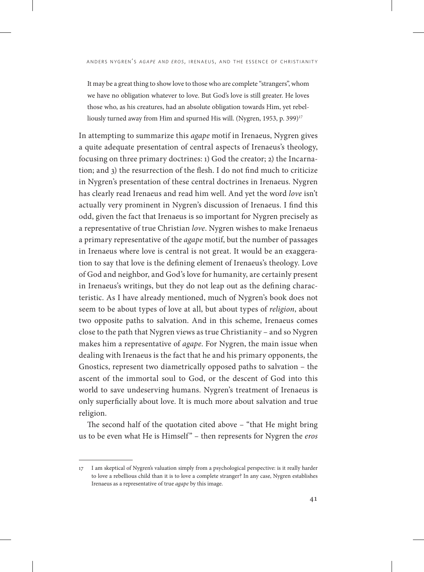It may be a great thing to show love to those who are complete "strangers", whom we have no obligation whatever to love. But God's love is still greater. He loves those who, as his creatures, had an absolute obligation towards Him, yet rebelliously turned away from Him and spurned His will. (Nygren, 1953, p. 399)<sup>17</sup>

In attempting to summarize this *agape* motif in Irenaeus, Nygren gives a quite adequate presentation of central aspects of Irenaeus's theology, focusing on three primary doctrines: 1) God the creator; 2) the Incarnation; and 3) the resurrection of the flesh. I do not find much to criticize in Nygren's presentation of these central doctrines in Irenaeus. Nygren has clearly read Irenaeus and read him well. And yet the word *love* isn't actually very prominent in Nygren's discussion of Irenaeus. I find this odd, given the fact that Irenaeus is so important for Nygren precisely as a representative of true Christian *love*. Nygren wishes to make Irenaeus a primary representative of the *agape* motif, but the number of passages in Irenaeus where love is central is not great. It would be an exaggeration to say that love is the defining element of Irenaeus's theology. Love of God and neighbor, and God's love for humanity, are certainly present in Irenaeus's writings, but they do not leap out as the defining characteristic. As I have already mentioned, much of Nygren's book does not seem to be about types of love at all, but about types of *religion*, about two opposite paths to salvation. And in this scheme, Irenaeus comes close to the path that Nygren views as true Christianity – and so Nygren makes him a representative of *agape*. For Nygren, the main issue when dealing with Irenaeus is the fact that he and his primary opponents, the Gnostics, represent two diametrically opposed paths to salvation – the ascent of the immortal soul to God, or the descent of God into this world to save undeserving humans. Nygren's treatment of Irenaeus is only superficially about love. It is much more about salvation and true religion.

The second half of the quotation cited above – "that He might bring us to be even what He is Himself" – then represents for Nygren the *eros*

<sup>17</sup> I am skeptical of Nygren's valuation simply from a psychological perspective: is it really harder to love a rebellious child than it is to love a complete stranger? In any case, Nygren establishes Irenaeus as a representative of true *agape* by this image.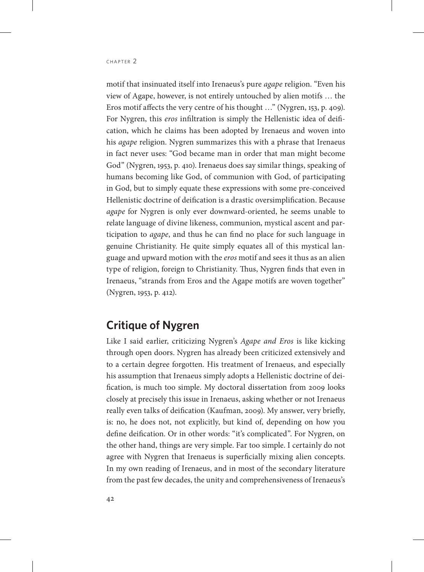motif that insinuated itself into Irenaeus's pure *agape* religion. "Even his view of Agape, however, is not entirely untouched by alien motifs … the Eros motif affects the very centre of his thought …" (Nygren, 153, p. 409). For Nygren, this *eros* infiltration is simply the Hellenistic idea of deification, which he claims has been adopted by Irenaeus and woven into his *agape* religion. Nygren summarizes this with a phrase that Irenaeus in fact never uses: "God became man in order that man might become God" (Nygren, 1953, p. 410). Irenaeus does say similar things, speaking of humans becoming like God, of communion with God, of participating in God, but to simply equate these expressions with some pre-conceived Hellenistic doctrine of deification is a drastic oversimplification. Because *agape* for Nygren is only ever downward-oriented, he seems unable to relate language of divine likeness, communion, mystical ascent and participation to *agape*, and thus he can find no place for such language in genuine Christianity. He quite simply equates all of this mystical language and upward motion with the *eros* motif and sees it thus as an alien type of religion, foreign to Christianity. Thus, Nygren finds that even in Irenaeus, "strands from Eros and the Agape motifs are woven together" (Nygren, 1953, p. 412).

# **Critique of Nygren**

Like I said earlier, criticizing Nygren's *Agape and Eros* is like kicking through open doors. Nygren has already been criticized extensively and to a certain degree forgotten. His treatment of Irenaeus, and especially his assumption that Irenaeus simply adopts a Hellenistic doctrine of deification, is much too simple. My doctoral dissertation from 2009 looks closely at precisely this issue in Irenaeus, asking whether or not Irenaeus really even talks of deification (Kaufman, 2009). My answer, very briefly, is: no, he does not, not explicitly, but kind of, depending on how you define deification. Or in other words: "it's complicated". For Nygren, on the other hand, things are very simple. Far too simple. I certainly do not agree with Nygren that Irenaeus is superficially mixing alien concepts. In my own reading of Irenaeus, and in most of the secondary literature from the past few decades, the unity and comprehensiveness of Irenaeus's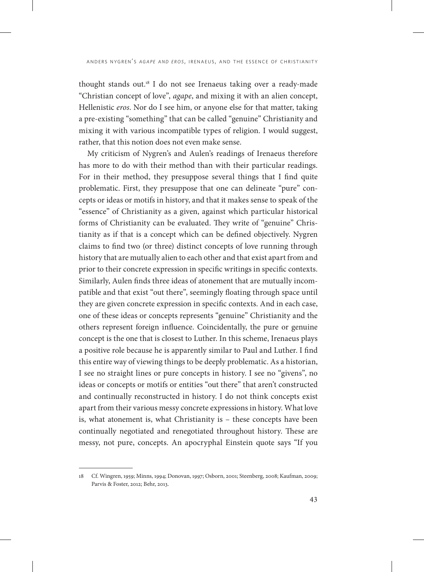thought stands out.18 I do not see Irenaeus taking over a ready-made "Christian concept of love", *agape*, and mixing it with an alien concept, Hellenistic *eros*. Nor do I see him, or anyone else for that matter, taking a pre-existing "something" that can be called "genuine" Christianity and mixing it with various incompatible types of religion. I would suggest, rather, that this notion does not even make sense.

My criticism of Nygren's and Aulen's readings of Irenaeus therefore has more to do with their method than with their particular readings. For in their method, they presuppose several things that I find quite problematic. First, they presuppose that one can delineate "pure" concepts or ideas or motifs in history, and that it makes sense to speak of the "essence" of Christianity as a given, against which particular historical forms of Christianity can be evaluated. They write of "genuine" Christianity as if that is a concept which can be defined objectively. Nygren claims to find two (or three) distinct concepts of love running through history that are mutually alien to each other and that exist apart from and prior to their concrete expression in specific writings in specific contexts. Similarly, Aulen finds three ideas of atonement that are mutually incompatible and that exist "out there", seemingly floating through space until they are given concrete expression in specific contexts. And in each case, one of these ideas or concepts represents "genuine" Christianity and the others represent foreign influence. Coincidentally, the pure or genuine concept is the one that is closest to Luther. In this scheme, Irenaeus plays a positive role because he is apparently similar to Paul and Luther. I find this entire way of viewing things to be deeply problematic. As a historian, I see no straight lines or pure concepts in history. I see no "givens", no ideas or concepts or motifs or entities "out there" that aren't constructed and continually reconstructed in history. I do not think concepts exist apart from their various messy concrete expressions in history. What love is, what atonement is, what Christianity is – these concepts have been continually negotiated and renegotiated throughout history. These are messy, not pure, concepts. An apocryphal Einstein quote says "If you

<sup>18</sup> Cf. Wingren, 1959; Minns, 1994; Donovan, 1997; Osborn, 2001; Steenberg, 2008; Kaufman, 2009; Parvis & Foster, 2012; Behr, 2013.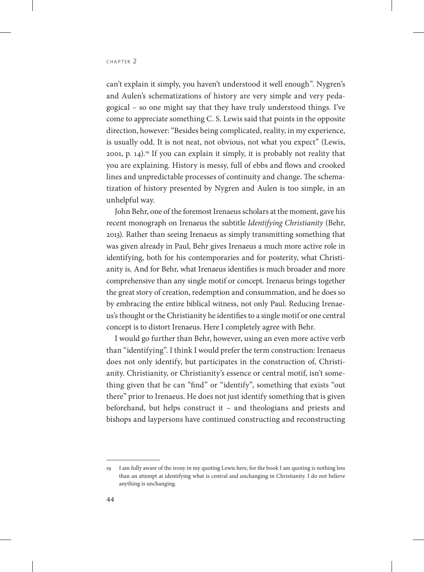can't explain it simply, you haven't understood it well enough". Nygren's and Aulen's schematizations of history are very simple and very pedagogical – so one might say that they have truly understood things. I've come to appreciate something C. S. Lewis said that points in the opposite direction, however: "Besides being complicated, reality, in my experience, is usually odd. It is not neat, not obvious, not what you expect" (Lewis, 2001, p. 14).19 If you can explain it simply, it is probably not reality that you are explaining. History is messy, full of ebbs and flows and crooked lines and unpredictable processes of continuity and change. The schematization of history presented by Nygren and Aulen is too simple, in an unhelpful way.

John Behr, one of the foremost Irenaeus scholars at the moment, gave his recent monograph on Irenaeus the subtitle *Identifying Christianity* (Behr, 2013). Rather than seeing Irenaeus as simply transmitting something that was given already in Paul, Behr gives Irenaeus a much more active role in identifying, both for his contemporaries and for posterity, what Christianity is. And for Behr, what Irenaeus identifies is much broader and more comprehensive than any single motif or concept. Irenaeus brings together the great story of creation, redemption and consummation, and he does so by embracing the entire biblical witness, not only Paul. Reducing Irenaeus's thought or the Christianity he identifies to a single motif or one central concept is to distort Irenaeus. Here I completely agree with Behr.

I would go further than Behr, however, using an even more active verb than "identifying". I think I would prefer the term construction: Irenaeus does not only identify, but participates in the construction of, Christianity. Christianity, or Christianity's essence or central motif, isn't something given that he can "find" or "identify", something that exists "out there" prior to Irenaeus. He does not just identify something that is given beforehand, but helps construct it – and theologians and priests and bishops and laypersons have continued constructing and reconstructing

<sup>19</sup> I am fully aware of the irony in my quoting Lewis here, for the book I am quoting is nothing less than an attempt at identifying what is central and unchanging in Christianity. I do not believe anything is unchanging.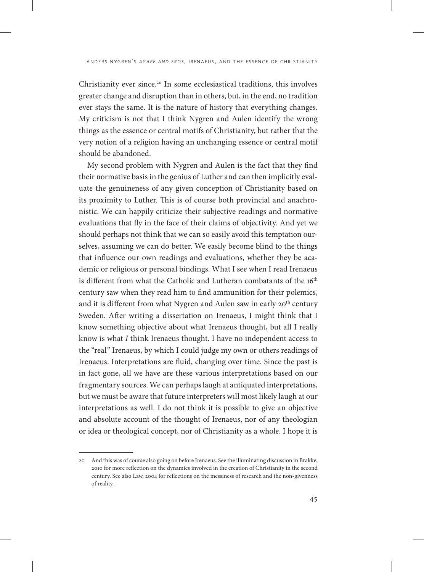Christianity ever since.20 In some ecclesiastical traditions, this involves greater change and disruption than in others, but, in the end, no tradition ever stays the same. It is the nature of history that everything changes. My criticism is not that I think Nygren and Aulen identify the wrong things as the essence or central motifs of Christianity, but rather that the very notion of a religion having an unchanging essence or central motif should be abandoned.

My second problem with Nygren and Aulen is the fact that they find their normative basis in the genius of Luther and can then implicitly evaluate the genuineness of any given conception of Christianity based on its proximity to Luther. This is of course both provincial and anachronistic. We can happily criticize their subjective readings and normative evaluations that fly in the face of their claims of objectivity. And yet we should perhaps not think that we can so easily avoid this temptation ourselves, assuming we can do better. We easily become blind to the things that influence our own readings and evaluations, whether they be academic or religious or personal bindings. What I see when I read Irenaeus is different from what the Catholic and Lutheran combatants of the 16<sup>th</sup> century saw when they read him to find ammunition for their polemics, and it is different from what Nygren and Aulen saw in early 20<sup>th</sup> century Sweden. After writing a dissertation on Irenaeus, I might think that I know something objective about what Irenaeus thought, but all I really know is what *I* think Irenaeus thought. I have no independent access to the "real" Irenaeus, by which I could judge my own or others readings of Irenaeus. Interpretations are fluid, changing over time. Since the past is in fact gone, all we have are these various interpretations based on our fragmentary sources. We can perhaps laugh at antiquated interpretations, but we must be aware that future interpreters will most likely laugh at our interpretations as well. I do not think it is possible to give an objective and absolute account of the thought of Irenaeus, nor of any theologian or idea or theological concept, nor of Christianity as a whole. I hope it is

<sup>20</sup> And this was of course also going on before Irenaeus. See the illuminating discussion in Brakke, 2010 for more reflection on the dynamics involved in the creation of Christianity in the second century. See also Law, 2004 for reflections on the messiness of research and the non-givenness of reality.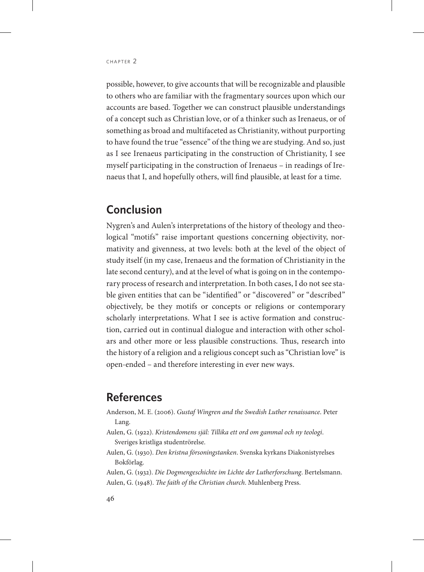possible, however, to give accounts that will be recognizable and plausible to others who are familiar with the fragmentary sources upon which our accounts are based. Together we can construct plausible understandings of a concept such as Christian love, or of a thinker such as Irenaeus, or of something as broad and multifaceted as Christianity, without purporting to have found the true "essence" of the thing we are studying. And so, just as I see Irenaeus participating in the construction of Christianity, I see myself participating in the construction of Irenaeus – in readings of Irenaeus that I, and hopefully others, will find plausible, at least for a time.

# **Conclusion**

Nygren's and Aulen's interpretations of the history of theology and theological "motifs" raise important questions concerning objectivity, normativity and givenness, at two levels: both at the level of the object of study itself (in my case, Irenaeus and the formation of Christianity in the late second century), and at the level of what is going on in the contemporary process of research and interpretation. In both cases, I do not see stable given entities that can be "identified" or "discovered" or "described" objectively, be they motifs or concepts or religions or contemporary scholarly interpretations. What I see is active formation and construction, carried out in continual dialogue and interaction with other scholars and other more or less plausible constructions. Thus, research into the history of a religion and a religious concept such as "Christian love" is open-ended – and therefore interesting in ever new ways.

### **References**

- Anderson, M. E. (2006). *Gustaf Wingren and the Swedish Luther renaissance*. Peter Lang.
- Aulen, G. (1922). *Kristendomens själ: Tillika ett ord om gammal och ny teologi*. Sveriges kristliga studentrörelse.
- Aulen, G. (1930). *Den kristna försoningstanken*. Svenska kyrkans Diakonistyrelses Bokförlag.
- Aulen, G. (1932). *Die Dogmengeschichte im Lichte der Lutherforschung*. Bertelsmann. Aulen, G. (1948). *The faith of the Christian church*. Muhlenberg Press.